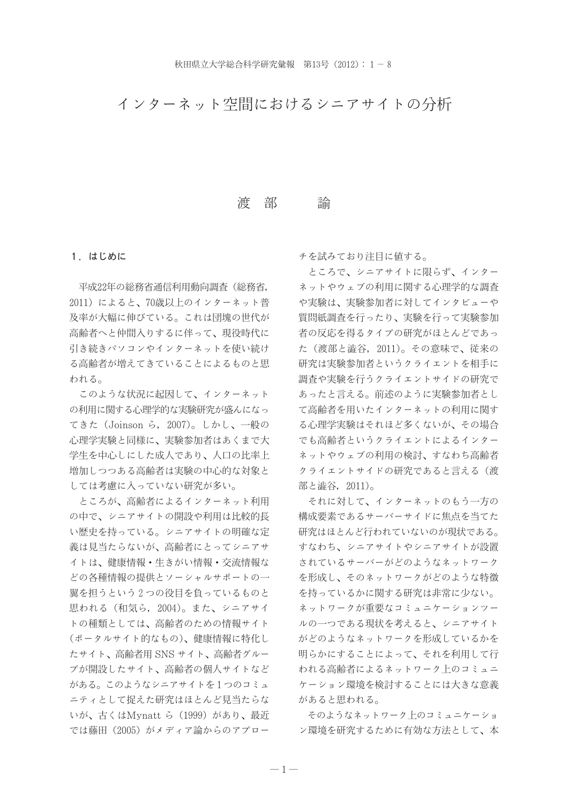インターネット空間におけるシニアサイトの分析

#### 渡 部 論

#### 1. はじめに

平成22年の総務省通信利用動向調査 (総務省, 2011)によると、70歳以上のインターネット普 及率が大幅に伸びている。これは団塊の世代が 高齢者へと仲間入りするに伴って、現役時代に 引き続きパソコンやインターネットを使い続け る高齢者が増えてきていることによるものと思 われる。

このような状況に起因して、インターネット の利用に関する心理学的な実験研究が盛んになっ てきた (Joinson ら, 2007)。しかし、一般の 心理学実験と同様に、実験参加者はあくまで大 学生を中心しにした成人であり、人口の比率上 増加しつつある高齢者は実験の中心的な対象と しては考慮に入っていない研究が多い。

ところが、高齢者によるインターネット利用 の中で、シニアサイトの開設や利用は比較的長 い歴史を持っている。シニアサイトの明確な定 義は見当たらないが、高齢者にとってシニアサ イトは、健康情報・生きがい情報・交流情報な どの各種情報の提供とソーシャルサポートの一 翼を相うという2つの役目を自っているものと 思われる (和気ら, 2004)。また、シニアサイ トの種類としては、高齢者のための情報サイト (ポータルサイト的なもの)、健康情報に特化し たサイト、高齢者用 SNS サイト、高齢者グルー プが開設したサイト、高齢者の個人サイトなど がある。このようなシニアサイトを1つのコミュ ニティとして捉えた研究はほとんど見当たらな いが、古くはMynatt ら (1999) があり、最近 では藤田 (2005) がメディア論からのアプロー

チを試みており注目に値する。

ところで、シニアサイトに限らず、インター ネットやウェブの利用に関する心理学的な調査 や実験は、実験参加者に対してインタビューや 質問紙調査を行ったり、実験を行って実験参加 者の反応を得るタイプの研究がほとんどであっ た (渡部と澁谷, 2011)。その意味で、従来の 研究は実験参加者というクライエントを相手に 調査や実験を行うクライエントサイドの研究で あったと言える。前述のように実験参加者とし て高齢者を用いたインターネットの利用に関す る心理学実験はそれほど多くないが、その場合 でも高齢者というクライエントによるインター ネットやウェブの利用の検討、すなわち高齢者 クライエントサイドの研究であると言える(渡 部と澁谷, 2011)。

それに対して、インターネットのもう一方の 構成要素であるサーバーサイドに焦点を当てた 研究はほとんど行われていないのが現状である。 すなわち、シニアサイトやシニアサイトが設置 されているサーバーがどのようなネットワーク を形成し、そのネットワークがどのような特徴 を持っているかに関する研究は非常に少ない。 ネットワークが重要なコミュニケーションツー ルの一つである現状を考えると、シニアサイト がどのようなネットワークを形成しているかを 明らかにすることによって、それを利用して行 われる高齢者によるネットワーク上のコミュニ ケーション環境を検討することには大きな意義 があると思われる。

そのようなネットワーク上のコミュニケーショ ン環境を研究するために有効な方法として、本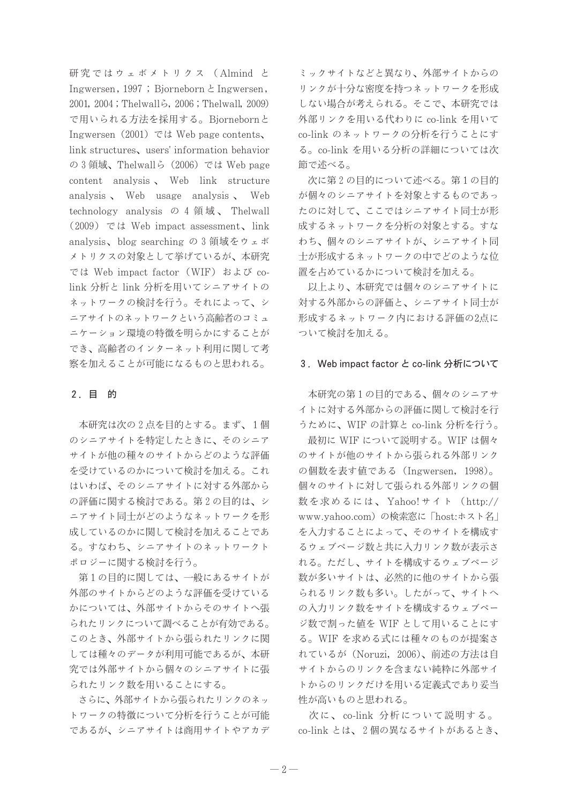研究ではウェボメトリクス (Almind と Ingwersen, 1997 ; Bjorneborn  $\angle$  Ingwersen, 2001, 2004; Thelwall 5, 2006; Thelwall, 2009) で用いられる方法を採用する。Bjornebornと Ingwersen (2001)  $\vec{c}$  to Web page contents, link structures, users' information behavior の3領域、Thelwallら (2006) では Web page content analysis, Web link structure analysis, Web usage analysis, Web technology analysis  $\oslash$  4  $\oplus$   $\uplus$ , Thelwall  $(2009)$   $\degree$  ( $\angle$  Web impact assessment, link analysis、blog searching の3領域をウェボ メトリクスの対象として挙げているが、本研究 では Web impact factor (WIF) および colink 分析と link 分析を用いてシニアサイトの ネットワークの検討を行う。それによって、シ ニアサイトのネットワークという高齢者のコミュ ニケーション環境の特徴を明らかにすることが でき、高齢者のインターネット利用に関して考 察を加えることが可能になるものと思われる。

## 2. 目 的

本研究は次の2点を目的とする。まず、1個 のシニアサイトを特定したときに、そのシニア サイトが他の種々のサイトからどのような評価 を受けているのかについて検討を加える。これ はいわば、そのシニアサイトに対する外部から の評価に関する検討である。第2の目的は、シ ニアサイト同士がどのようなネットワークを形 成しているのかに関して検討を加えることであ る。すなわち、シニアサイトのネットワークト ポロジーに関する検討を行う。

第1の目的に関しては、一般にあるサイトが 外部のサイトからどのような評価を受けている かについては、外部サイトからそのサイトへ張 られたリンクについて調べることが有効である。 このとき、外部サイトから張られたリンクに関 しては種々のデータが利用可能であるが、本研 究では外部サイトから個々のシニアサイトに張 られたリンク数を用いることにする。

さらに、外部サイトから張られたリンクのネッ トワークの特徴について分析を行うことが可能 であるが、シニアサイトは商用サイトやアカデ

ミックサイトなどと異なり、外部サイトからの リンクが十分な密度を持つネットワークを形成 しない場合が考えられる。そこで、本研究では 外部リンクを用いる代わりに co-link を用いて co-link のネットワークの分析を行うことにす る。co-link を用いる分析の詳細については次 節で述べる。

次に第2の目的について述べる。第1の目的 が個々のシニアサイトを対象とするものであっ たのに対して、ここではシニアサイト同士が形 成するネットワークを分析の対象とする。すな わち、個々のシニアサイトが、シニアサイト同 士が形成するネットワークの中でどのような位 置を占めているかについて検討を加える。

以上より、本研究では個々のシニアサイトに 対する外部からの評価と、シニアサイト同十が 形成するネットワーク内における評価の2点に ついて検討を加える。

#### 3. Web impact factor と co-link 分析について

本研究の第1の目的である、個々のシニアサ イトに対する外部からの評価に関して検討を行 うために、WIF の計算と co-link 分析を行う。 最初に WIF について説明する。WIF は個々 のサイトが他のサイトから張られる外部リンク の個数を表す値である (Ingwersen, 1998)。 個々のサイトに対して張られる外部リンクの個 数を求めるには、Yahoo!サイト (http:// www.yahoo.com) の検索窓に「host:ホスト名」 を入力することによって、そのサイトを構成す るウェブページ数と共に入力リンク数が表示さ れる。ただし、サイトを構成するウェブページ 数が多いサイトは、必然的に他のサイトから張 られるリンク数も多い。したがって、サイトへ の入力リンク数をサイトを構成するウェブペー ジ数で割った値を WIF として用いることにす る。WIF を求める式には種々のものが提案さ れているが (Noruzi, 2006)、前述の方法は自 サイトからのリンクを含まない純粋に外部サイ トからのリンクだけを用いる定義式であり妥当 性が高いものと思われる。

次に、co-link 分析について説明する。 co-link とは、2個の異なるサイトがあるとき、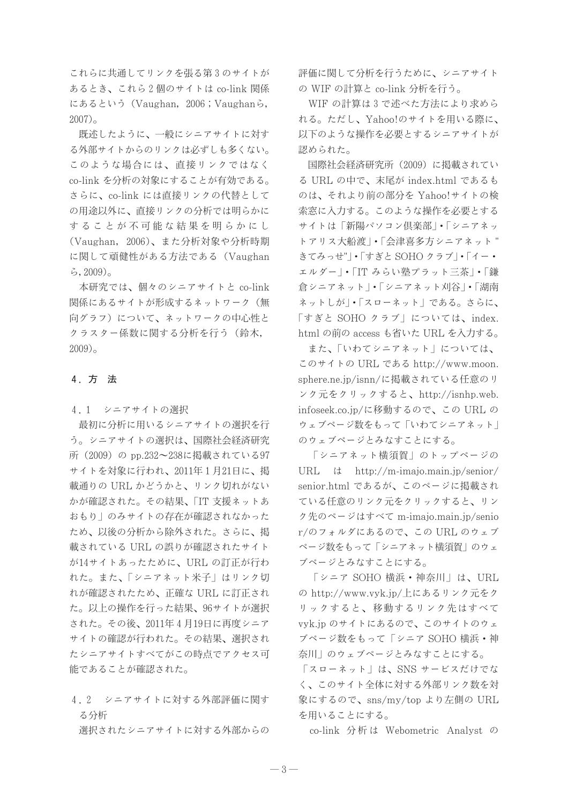これらに共通してリンクを張る第3のサイトが あるとき、これら2個のサイトは co-link 関係 にあるという (Vaughan, 2006; Vaughanら,  $2007)$ 。

既述したように、一般にシニアサイトに対す る外部サイトからのリンクは必ずしも多くない。 このような場合には、直接リンクではなく co-link を分析の対象にすることが有効である。 さらに、co-link には直接リンクの代替として の用途以外に、直接リンクの分析では明らかに することが不可能な結果を明らかにし (Vaughan, 2006)、また分析対象や分析時期 に関して頑健性がある方法である (Vaughan  $5,2009$ <sub>o</sub>

本研究では、個々のシニアサイトと co-link 関係にあるサイトが形成するネットワーク(無 向グラフ)について、ネットワークの中心性と クラスター係数に関する分析を行う (鈴木,  $2009$ <sub>0</sub>

### 4. 方法

4.1 シニアサイトの選択

最初に分析に用いるシニアサイトの選択を行 う。シニアサイトの選択は、国際社会経済研究 所 (2009) の pp.232~238に掲載されている97 サイトを対象に行われ、2011年1月21日に、掲 載通りの URL かどうかと、リンク切れがない かが確認された。その結果、「IT 支援ネットあ おもり」のみサイトの存在が確認されなかった ため、以後の分析から除外された。さらに、掲 載されている URL の誤りが確認されたサイト が14サイトあったために、URL の訂正が行わ れた。また、「シニアネット米子」はリンク切 れが確認されたため、正確な URL に訂正され た。以上の操作を行った結果、96サイトが選択 された。その後、2011年4月19日に再度シニア サイトの確認が行われた。その結果、選択され たシニアサイトすべてがこの時点でアクセス可 能であることが確認された。

# 4.2 シニアサイトに対する外部評価に関す る分析

選択されたシニアサイトに対する外部からの

評価に関して分析を行うために、シニアサイト の WIF の計算と co-link 分析を行う。

WIF の計算は3で述べた方法により求めら れる。ただし、Yahoo!のサイトを用いる際に、 以下のような操作を必要とするシニアサイトが 認められた。

国際社会経済研究所 (2009) に掲載されてい る URL の中で、末尾が index.html であるも のは、それより前の部分を Yahoo!サイトの検 索窓に入力する。このような操作を必要とする サイトは「新陽パソコン倶楽部」•「シニアネッ トアリス大船渡 | • 「会津喜多方シニアネット " きてみっせ"|•「すぎと SOHO クラブ|•「イー• エルダー」·「IT みらい塾プラット三茶」·「鎌 倉シニアネット」•「シニアネット刈谷」•「湖南 ネットしが | • 「スローネット | である。さらに、 「すぎと SOHO クラブ」については、index. html の前の access も省いた URL を入力する。

また、「いわてシニアネット」については、 このサイトの URL である http://www.moon. sphere.ne.jp/isnn/に掲載されている任意のリ ンク元をクリックすると、http://isnhp.web. infoseek.co.jp/に移動するので、この URL の ウェブページ数をもって「いわてシニアネット」 のウェブページとみなすことにする。

「シニアネット構須智」のトップページの URL は http://m-imajo.main.jp/senior/ senior.html であるが、このページに掲載され ている任意のリンク元をクリックすると、リン ク先のページはすべて m-imajo.main.jp/senio r/のフォルダにあるので、この URL のウェブ ページ数をもって「シニアネット構須賀」のウェ ブページとみなすことにする。

「シニア SOHO 横浜・神奈川」は、URL の http://www.vyk.jp/上にあるリンク元をク リックすると、移動するリンク先はすべて vyk.jp のサイトにあるので、このサイトのウェ ブページ数をもって「シニア SOHO 横浜·神 奈川 | のウェブページとみなすことにする。

「スローネット」は、SNS サービスだけでな く、このサイト全体に対する外部リンク数を対 象にするので、sns/my/top より左側の URL を用いることにする。

co-link 分析は Webometric Analyst の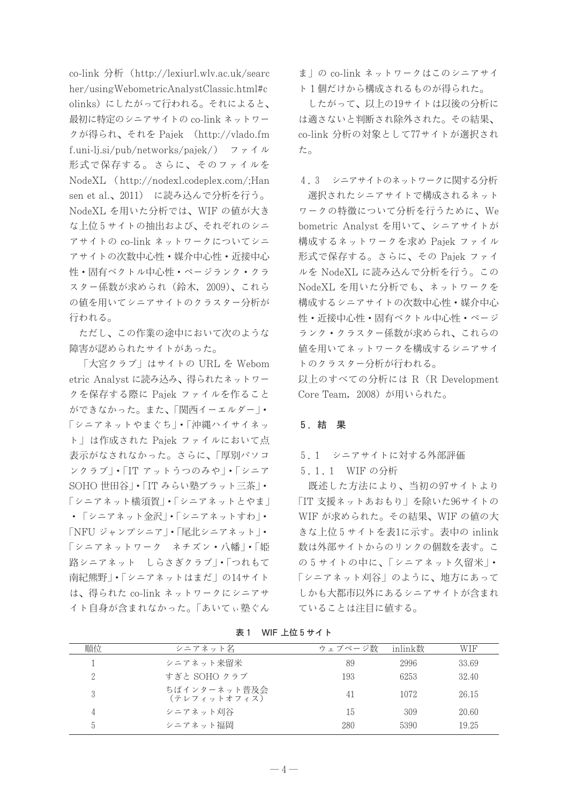co-link 分析 (http://lexiurl.wlv.ac.uk/searc her/usingWebometricAnalystClassic.html#c olinks)にしたがって行われる。それによると、 最初に特定のシニアサイトの co-link ネットワー クが得られ、それを Pajek (http://vlado.fm f.uni-lj.si/pub/networks/pajek/)  $77/1$ 形式で保存する。さらに、そのファイルを NodeXL (http://nodexl.codeplex.com/;Han sen et al.、2011) に読み込んで分析を行う。 NodeXL を用いた分析では、WIF の値が大き な上位5サイトの抽出および、それぞれのシニ アサイトの co-link ネットワークについてシニ アサイトの次数中心性・媒介中心性・近接中心 性・固有ベクトル中心性・ページランク・クラ スター係数が求められ (鈴木, 2009)、これら の値を用いてシニアサイトのクラスター分析が 行われる。

ただし、この作業の途中において次のような 障害が認められたサイトがあった。

「大宮クラブ」はサイトの URL を Webom etric Analyst に読み込み、得られたネットワー クを保存する際に Pajek ファイルを作ること ができなかった。また、「関西イーエルダー」 「シニアネットやまぐち」・「沖縄ハイサイネッ ト」は作成された Pajek ファイルにおいて点 表示がなされなかった。さらに、「厚別パソコ ンクラブ」·「IT アットうつのみや」·「シニア SOHO世田谷」·「IT みらい塾プラット三茶」· 「シニアネット構須賀 | • 「シニアネットとやま | • 「シニアネット金沢」・「シニアネットすわ」• 「NFU ジャンプシニア」·「尾北シニアネット」· 「シニアネットワーク ネチズン・八幡」・「姫 路シニアネット しらさぎクラブ | • 「つれもて 南紀熊野」・「シニアネットはまだ」の14サイト は、得られた co-link ネットワークにシニアサ イト自身が含まれなかった。「あいてぃ塾ぐん ま」の co-link ネットワークはこのシニアサイ ト1個だけから構成されるものが得られた。

したがって、以上の19サイトは以後の分析に は適さないと判断され除外された。その結果、 co-link 分析の対象として77サイトが選択され た。

4.3 シニアサイトのネットワークに関する分析 選択されたシニアサイトで構成されるネット ワークの特徴について分析を行うために、We bometric Analyst を用いて、シニアサイトが 構成するネットワークを求め Pajek ファイル 形式で保存する。さらに、その Pajek ファイ ルを NodeXL に読み込んで分析を行う。この NodeXL を用いた分析でも、ネットワークを 構成するシニアサイトの次数中心性・媒介中心 性・近接中心性・固有ベクトル中心性・ページ ランク・クラスター係数が求められ、これらの 値を用いてネットワークを構成するシニアサイ トのクラスター分析が行われる。

以上のすべての分析には R (R Development Core Team, 2008) が用いられた。

### 5. 結果

#### 5.1 シニアサイトに対する外部評価

5.1.1 WIFの分析

既述した方法により、当初の97サイトより 「IT 支援ネットあおもり | を除いた96サイトの WIF が求められた。その結果、WIF の値の大 きな上位5サイトを表1に示す。表中の inlink 数は外部サイトからのリンクの個数を表す。こ の5サイトの中に、「シニアネット久留米」· 「シニアネット刈谷」のように、地方にあって しかも大都市以外にあるシニアサイトが含まれ ていることは注目に値する。

| 順位       | シニアネット名                      | ウェブページ数 | inlink数 | WIF   |
|----------|------------------------------|---------|---------|-------|
|          | シニアネット来留米                    | 89      | 2996    | 33.69 |
| $\Omega$ | すぎと SOHO クラブ                 | 193     | 6253    | 32.40 |
| 3        | ちばインターネット普及会<br>(テレフィットオフィス) | 41      | 1072    | 26.15 |
|          | シニアネット刈谷                     | 15      | 309     | 20.60 |
| 5        | シニアネット福岡                     | 280     | 5390    | 19.25 |

表 1 WIF 上位 5 サイト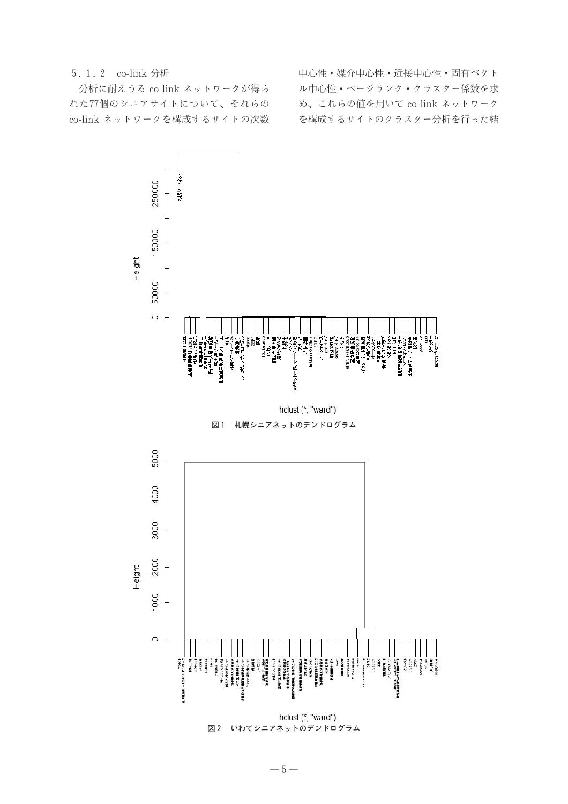# 5.1.2 co-link 分析

分析に耐えうる co-link ネットワークが得ら れた77個のシニアサイトについて、それらの co-link ネットワークを構成するサイトの次数 中心性・媒介中心性・近接中心性・固有ベクト ル中心性·ページランク·クラスター係数を求 め、これらの値を用いて co-link ネットワーク を構成するサイトのクラスター分析を行った結



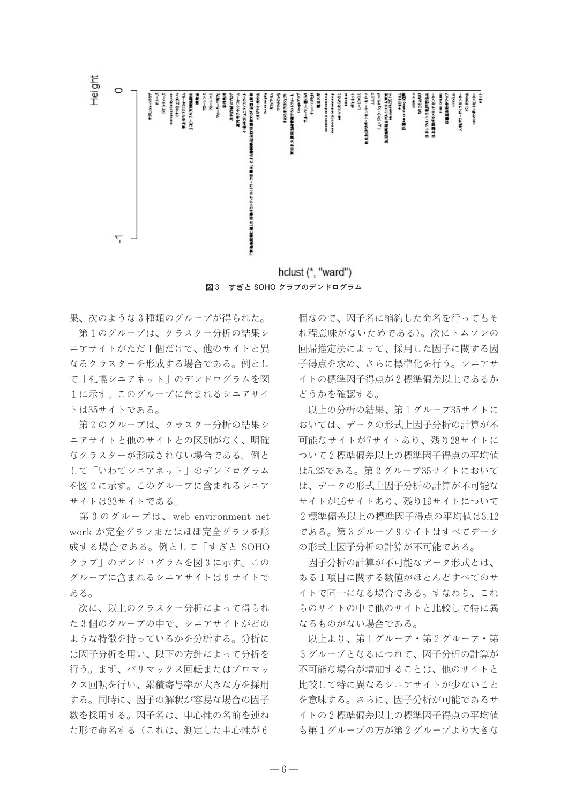

hclust (\*, "ward") 図3 すぎと SOHO クラブのデンドログラム

果、次のような3種類のグループが得られた。 第1のグループは、クラスター分析の結果シ ニアサイトがただ1個だけで、他のサイトと異 なるクラスターを形成する場合である。例とし て「札幌シニアネット」のデンドログラムを図 1に示す。このグループに含まれるシニアサイ トは35サイトである。

第2のグループは、クラスター分析の結果シ ニアサイトと他のサイトとの区別がなく、明確 なクラスターが形成されない場合である。例と して「いわてシニアネット」のデンドログラム を図2に示す。このグループに含まれるシニア サイトは33サイトである。

第3のグループは、web environment net work が完全グラフまたはほぼ完全グラフを形 成する場合である。例として「すぎと SOHO クラブ | のデンドログラムを図3に示す。この グループに含まれるシニアサイトは9サイトで ある。

次に、以上のクラスター分析によって得られ た3個のグループの中で、シニアサイトがどの ような特徴を持っているかを分析する。分析に は因子分析を用い、以下の方針によって分析を 行う。まず、バリマックス回転またはプロマッ クス回転を行い、累積寄与率が大きな方を採用 する。同時に、因子の解釈が容易な場合の因子 数を採用する。因子名は、中心性の名前を連ね た形で命名する(これは、測定した中心性が6

個なので、因子名に縮約した命名を行ってもそ れ程意味がないためである)。次にトムソンの 回帰推定法によって、採用した因子に関する因 子得点を求め、さらに標準化を行う。シニアサ イトの標準因子得点が2標準偏差以上であるか どうかを確認する。

以上の分析の結果、第1グループ35サイトに おいては、データの形式上因子分析の計算が不 可能なサイトが7サイトあり、残り28サイトに ついて2標準偏差以上の標準因子得点の平均値 は5.23である。第2グループ35サイトにおいて は、データの形式上因子分析の計算が不可能な サイトが16サイトあり、残り19サイトについて 2 標準偏差以上の標準因子得点の平均値は3.12 である。第3グループ9サイトはすべてデータ の形式上因子分析の計算が不可能である。

因子分析の計算が不可能なデータ形式とは、 ある1項目に関する数値がほとんどすべてのサ イトで同一になる場合である。すなわち、これ らのサイトの中で他のサイトと比較して特に異 なるものがない場合である。

以上より、第1グループ・第2グループ・第 3グループとなるにつれて、因子分析の計算が 不可能な場合が増加することは、他のサイトと 比較して特に異なるシニアサイトが少ないこと を意味する。さらに、因子分析が可能であるサ イトの2標準偏差以上の標準因子得点の平均値 も第1グループの方が第2グループより大きな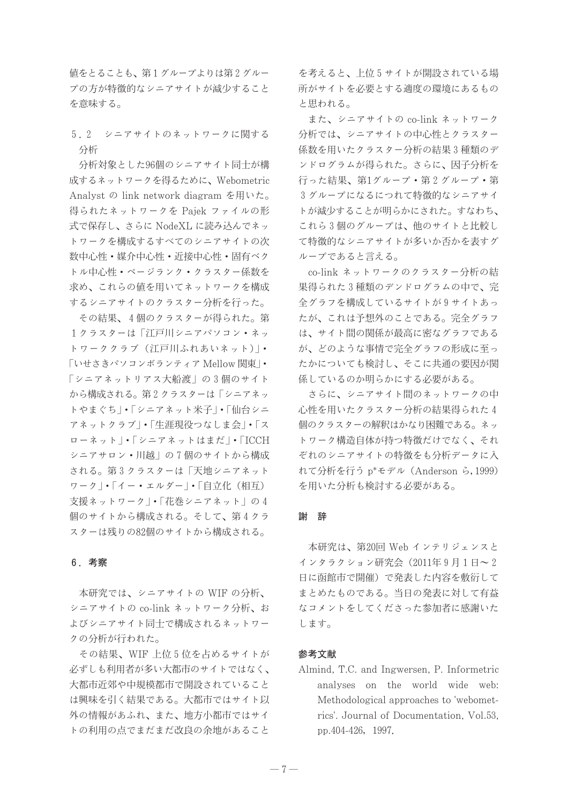値をとることも、第1グループよりは第2グルー プの方が特徴的なシニアサイトが減少すること を意味する。

# 5.2 シニアサイトのネットワークに関する 分析

分析対象とした96個のシニアサイト同十が構 成するネットワークを得るために、Webometric Analyst の link network diagram を用いた。 得られたネットワークを Pajek ファイルの形 式で保存し、さらに NodeXL に読み込んでネッ トワークを構成するすべてのシニアサイトの次 数中心性・媒介中心性・近接中心性・固有ベク トル中心性・ページランク・クラスター係数を 求め、これらの値を用いてネットワークを構成 するシニアサイトのクラスター分析を行った。

その結果、4個のクラスターが得られた。第 1クラスターは「江戸川シニアパソコン・ネッ トワーククラブ(江戸川ふれあいネット)」・ 「いせさきパソコンボランティア Mellow 関東」· 「シニアネットリアス大船渡」の3個のサイト から構成される。第2クラスターは「シニアネッ トやまぐち」•「シニアネット米子」•「仙台シニ アネットクラブ」・「生涯現役つなしま会」・「ス ローネット」·「シニアネットはまだ」·「ICCH シニアサロン·川越|の7個のサイトから構成 される。第3クラスターは「天地シニアネット ワーク」・「イー・エルダー」・「自立化(相互) 支援ネットワーク | • 「花巻シニアネット | の4 個のサイトから構成される。そして、第4クラ スターは残りの82個のサイトから構成される。

### 6. 考察

本研究では、シニアサイトの WIF の分析、 シニアサイトの co-link ネットワーク分析、お よびシニアサイト同十で構成されるネットワー クの分析が行われた。

その結果、WIF上位5位を占めるサイトが 必ずしも利用者が多い大都市のサイトではなく、 大都市近郊や中規模都市で開設されていること は興味を引く結果である。大都市ではサイト以 外の情報があふれ、また、地方小都市ではサイ トの利用の点でまだまだ改良の余地があること

を考えると、上位5サイトが開設されている場 所がサイトを必要とする適度の環境にあるもの と思われる。

また、シニアサイトの co-link ネットワーク 分析では、シニアサイトの中心性とクラスター 係数を用いたクラスター分析の結果3種類のデ ンドログラムが得られた。さらに、因子分析を 行った結果、第1グループ・第2グループ・第 3グループになるにつれて特徴的なシニアサイ トが減少することが明らかにされた。すなわち、 これら3個のグループは、他のサイトと比較し て特徴的なシニアサイトが多いか否かを表すグ ループであると言える。

co-link ネットワークのクラスター分析の結 果得られた3種類のデンドログラムの中で、完 全グラフを構成しているサイトが9サイトあっ たが、これは予想外のことである。完全グラフ は、サイト間の関係が最高に密なグラフである が、どのような事情で完全グラフの形成に至っ たかについても検討し、そこに共通の要因が関 係しているのか明らかにする必要がある。

さらに、シニアサイト間のネットワークの中 心性を用いたクラスター分析の結果得られた4 個のクラスターの解釈はかなり困難である。ネッ トワーク構造自体が持つ特徴だけでなく、それ ぞれのシニアサイトの特徴をも分析データに入 れて分析を行う p\*モデル (Anderson ら, 1999) を用いた分析も検討する必要がある。

### 謝 辞

本研究は、第20回 Web インテリジェンスと インタラクション研究会 (2011年9月1日~2 日に函館市で開催)で発表した内容を敷衍して まとめたものである。当日の発表に対して有益 なコメントをしてくださった参加者に感謝いた します。

#### 参考文献

Almind, T.C. and Ingwersen, P. Informetric analyses on the world wide web: Methodological approaches to 'webometrics'. Journal of Documentation, Vol.53, pp.404-426, 1997.